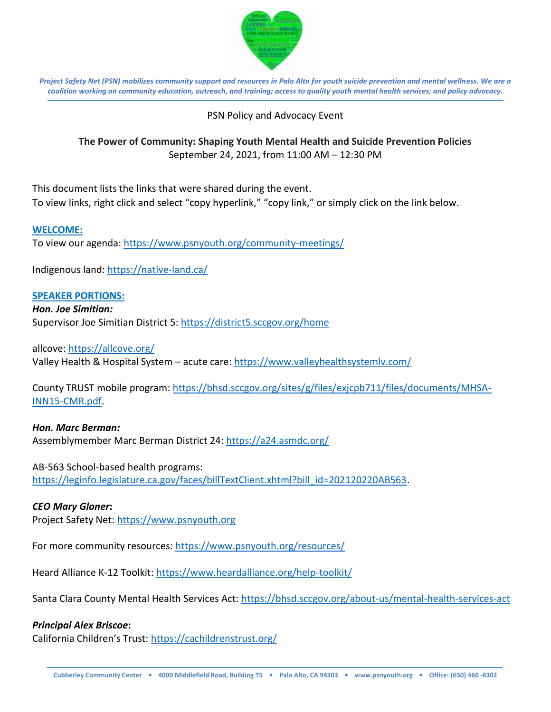

*Project Safety Net (PSN) mobilizes community support and resources in Palo Alto for youth suicide prevention and mental wellness. We are a coalition working on community education, outreach, and training; access to quality youth mental health services; and policy advocacy.*

## PSN Policy and Advocacy Event

# **The Power of Community: Shaping Youth Mental Health and Suicide Prevention Policies** September 24, 2021, from 11:00 AM – 12:30 PM

This document lists the links that were shared during the event. To view links, right click and select "copy hyperlink," "copy link," or simply click on the link below.

### **WELCOME:**

To view our agenda: <https://www.psnyouth.org/community-meetings/>

Indigenous land:<https://native-land.ca/>

### **SPEAKER PORTIONS:**

#### *Hon. Joe Simitian:*

Supervisor Joe Simitian District 5:<https://district5.sccgov.org/home>

allcove:<https://allcove.org/>

Valley Health & Hospital System – acute care:<https://www.valleyhealthsystemlv.com/>

County TRUST mobile program: [https://bhsd.sccgov.org/sites/g/files/exjcpb711/files/documents/MHSA-](https://bhsd.sccgov.org/sites/g/files/exjcpb711/files/documents/MHSA-INN15-CMR.pdf)[INN15-CMR.pdf.](https://bhsd.sccgov.org/sites/g/files/exjcpb711/files/documents/MHSA-INN15-CMR.pdf)

# *Hon. Marc Berman:*

Assemblymember Marc Berman District 24:<https://a24.asmdc.org/>

### AB-563 School-based health programs:

[https://leginfo.legislature.ca.gov/faces/billTextClient.xhtml?bill\\_id=202120220AB563.](https://leginfo.legislature.ca.gov/faces/billTextClient.xhtml?bill_id=202120220AB563)

### *CEO Mary Gloner***:**

Project Safety Net: [https://www.psnyouth.org](https://www.psnyouth.org/)

For more community resources:<https://www.psnyouth.org/resources/>

Heard Alliance K-12 Toolkit:<https://www.heardalliance.org/help-toolkit/>

Santa Clara County Mental Health Services Act:<https://bhsd.sccgov.org/about-us/mental-health-services-act>

### *Principal Alex Briscoe***:**

California Children's Trust: <https://cachildrenstrust.org/>